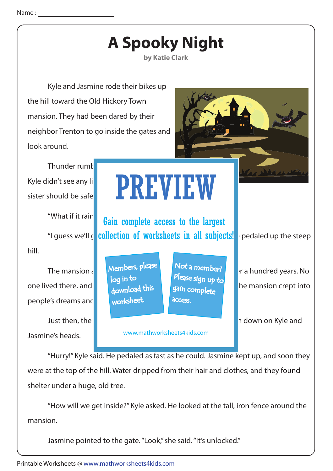

 "How will we get inside?" Kyle asked. He looked at the tall, iron fence around the mansion.

Jasmine pointed to the gate. "Look," she said. "It's unlocked."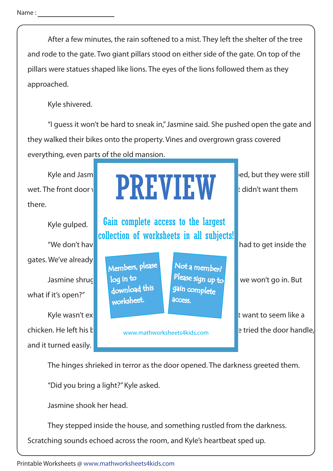After a few minutes, the rain softened to a mist. They left the shelter of the tree and rode to the gate. Two giant pillars stood on either side of the gate. On top of the pillars were statues shaped like lions. The eyes of the lions followed them as they approached.

Kyle shivered.

 "I guess it won't be hard to sneak in," Jasmine said. She pushed open the gate and they walked their bikes onto the property. Vines and overgrown grass covered everything, even parts of the old mansion.

there.

Kyle gulped.

gates. We've already

what if it's open?"

and it turned easily.



The hinges shrieked in terror as the door opened. The darkness greeted them.

"Did you bring a light?" Kyle asked.

Jasmine shook her head.

 They stepped inside the house, and something rustled from the darkness. Scratching sounds echoed across the room, and Kyle's heartbeat sped up.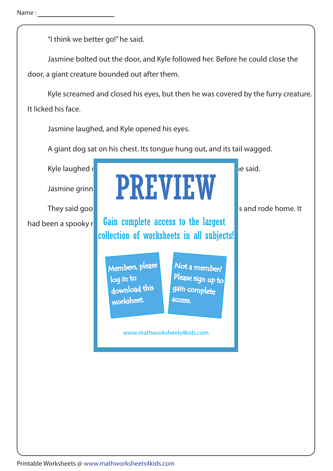"I think we better go!" he said.

 Jasmine bolted out the door, and Kyle followed her. Before he could close the door, a giant creature bounded out after them.

 Kyle screamed and closed his eyes, but then he was covered by the furry creature. It licked his face.

Jasmine laughed, and Kyle opened his eyes.

A giant dog sat on his chest. Its tongue hung out, and its tail wagged.

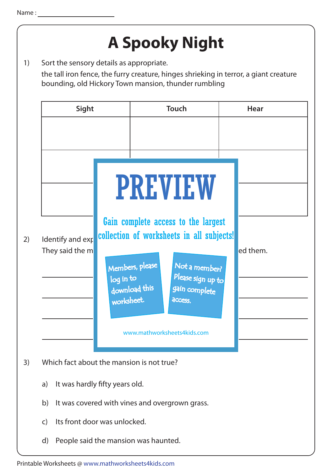| the tall iron fence, the furry creature, hinges shrieking in terror, a giant creature<br>bounding, old Hickory Town mansion, thunder rumbling |                                |                                                |             |  |
|-----------------------------------------------------------------------------------------------------------------------------------------------|--------------------------------|------------------------------------------------|-------------|--|
| Sight                                                                                                                                         |                                | <b>Touch</b>                                   | <b>Hear</b> |  |
|                                                                                                                                               |                                |                                                |             |  |
|                                                                                                                                               |                                |                                                |             |  |
|                                                                                                                                               |                                |                                                |             |  |
|                                                                                                                                               |                                | <b>PREVIEW</b>                                 |             |  |
|                                                                                                                                               |                                |                                                |             |  |
|                                                                                                                                               |                                | Gain complete access to the largest            |             |  |
| Identify and exp                                                                                                                              |                                | collection of worksheets in all subjects!      |             |  |
| They said the m                                                                                                                               |                                |                                                | ed them.    |  |
|                                                                                                                                               |                                |                                                |             |  |
|                                                                                                                                               | Members, please                | Not a member?                                  |             |  |
|                                                                                                                                               | log in to<br>download this     | Please sign up to<br>gain complete             |             |  |
|                                                                                                                                               | worksheet.                     | <b>ACCESS.</b>                                 |             |  |
|                                                                                                                                               |                                |                                                |             |  |
|                                                                                                                                               |                                | www.mathworksheets4kids.com                    |             |  |
|                                                                                                                                               |                                |                                                |             |  |
|                                                                                                                                               |                                |                                                |             |  |
| Which fact about the mansion is not true?<br>a)                                                                                               | It was hardly fifty years old. |                                                |             |  |
| b)                                                                                                                                            |                                | It was covered with vines and overgrown grass. |             |  |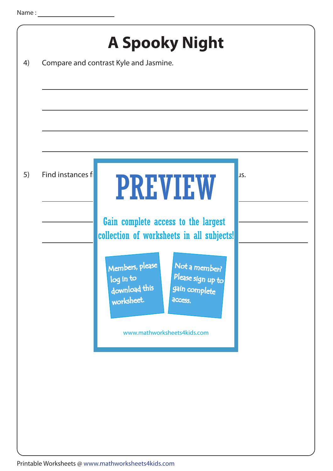|                   | <b>A Spooky Night</b><br>Compare and contrast Kyle and Jasmine.                                                                                                                                                                            |
|-------------------|--------------------------------------------------------------------------------------------------------------------------------------------------------------------------------------------------------------------------------------------|
| Find instances fi | JS.<br><b>PREVIEW</b><br>Gain complete access to the largest<br>collection of worksheets in all subjects!<br>Not a member?<br>Members, please<br>Please sign up to<br>log in to<br>download this<br>gain complete<br>worksheet.<br>access. |
|                   | www.mathworksheets4kids.com                                                                                                                                                                                                                |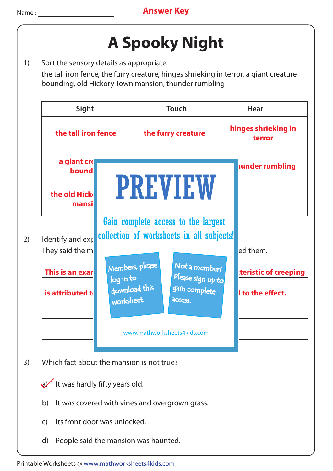## **A Spooky Night**

1) Sort the sensory details as appropriate.

the tall iron fence, the furry creature, hinges shrieking in terror, a giant creature bounding, old Hickory Town mansion, thunder rumbling